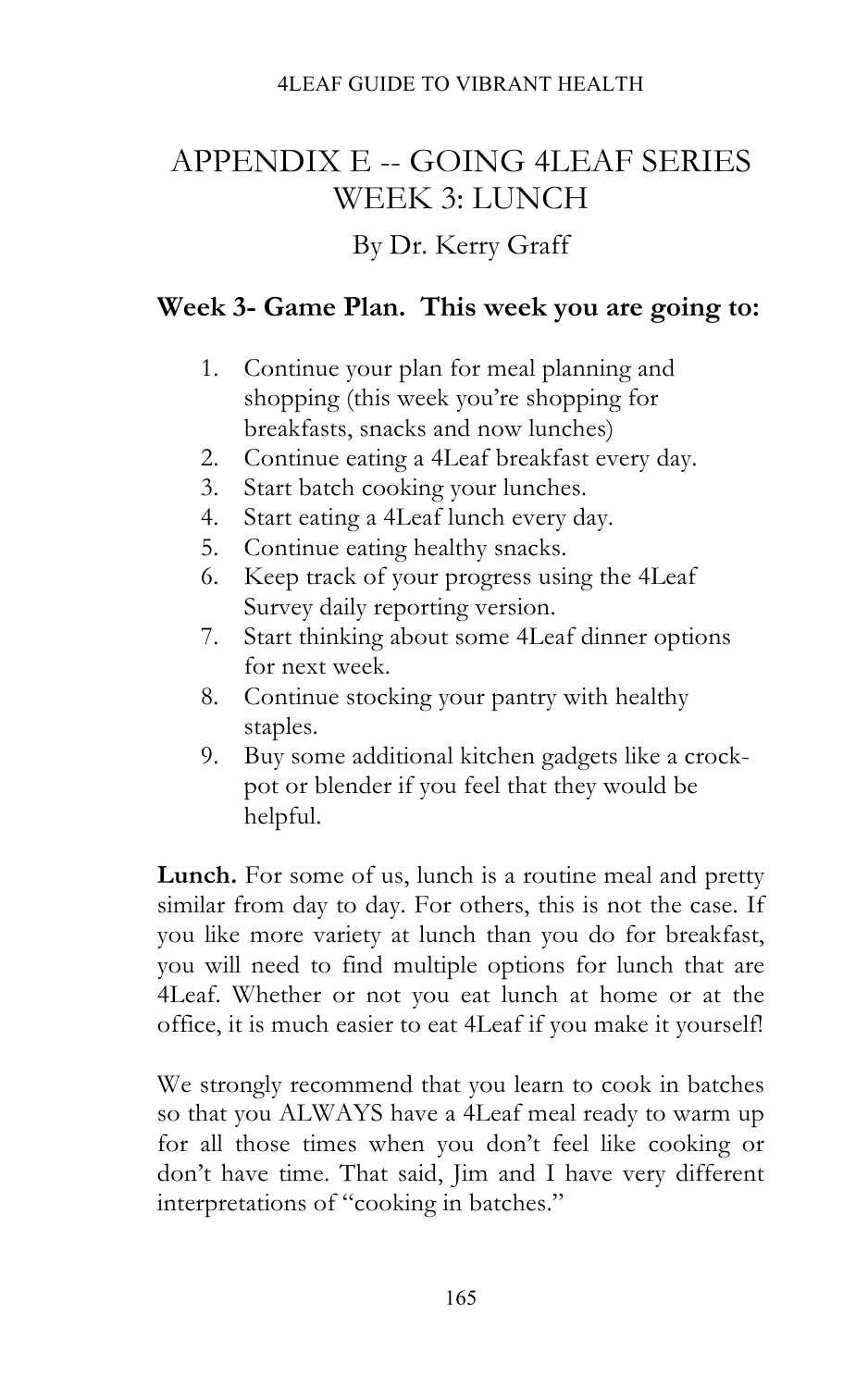#### 4LEAF GUIDE TO VIBRANT HEALTH

# APPENDIX E -- GOING 4LEAF SERIES WEEK 3: LUNCH

#### By Dr. Kerry Graff

#### **Week 3- Game Plan. This week you are going to:**

- 1. Continue your plan for meal planning and shopping (this week you're shopping for breakfasts, snacks and now lunches)
- 2. Continue eating a 4Leaf breakfast every day.
- 3. Start batch cooking your lunches.
- 4. Start eating a 4Leaf lunch every day.
- 5. Continue eating healthy snacks.
- 6. Keep track of your progress using the 4Leaf Survey daily reporting version.
- 7. Start thinking about some 4Leaf dinner options for next week.
- 8. Continue stocking your pantry with healthy staples.
- 9. Buy some additional kitchen gadgets like a crockpot or blender if you feel that they would be helpful.

**Lunch.** For some of us, lunch is a routine meal and pretty similar from day to day. For others, this is not the case. If you like more variety at lunch than you do for breakfast, you will need to find multiple options for lunch that are 4Leaf. Whether or not you eat lunch at home or at the office, it is much easier to eat 4Leaf if you make it yourself!

We strongly recommend that you learn to cook in batches so that you ALWAYS have a 4Leaf meal ready to warm up for all those times when you don't feel like cooking or don't have time. That said, Jim and I have very different interpretations of "cooking in batches."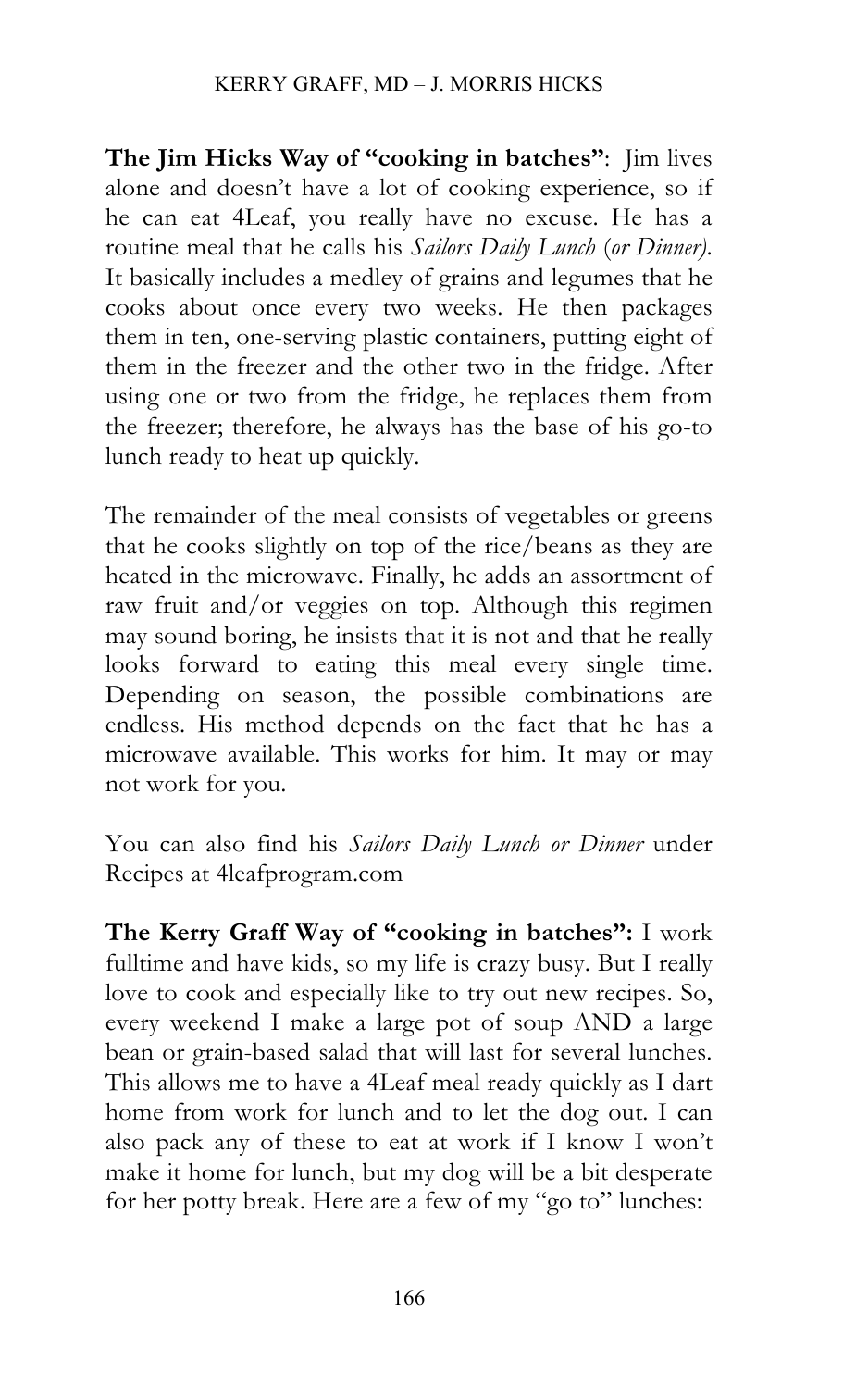**The Jim Hicks Way of "cooking in batches"**: Jim lives alone and doesn't have a lot of cooking experience, so if he can eat 4Leaf, you really have no excuse. He has a routine meal that he calls his *Sailors Daily Lunch* (*or Dinner)*. It basically includes a medley of grains and legumes that he cooks about once every two weeks. He then packages them in ten, one-serving plastic containers, putting eight of them in the freezer and the other two in the fridge. After using one or two from the fridge, he replaces them from the freezer; therefore, he always has the base of his go-to lunch ready to heat up quickly.

The remainder of the meal consists of vegetables or greens that he cooks slightly on top of the rice/beans as they are heated in the microwave. Finally, he adds an assortment of raw fruit and/or veggies on top. Although this regimen may sound boring, he insists that it is not and that he really looks forward to eating this meal every single time. Depending on season, the possible combinations are endless. His method depends on the fact that he has a microwave available. This works for him. It may or may not work for you.

You can also find his *Sailors Daily Lunch or Dinner* under Recipes at 4leafprogram.com

**The Kerry Graff Way of "cooking in batches":** I work fulltime and have kids, so my life is crazy busy. But I really love to cook and especially like to try out new recipes. So, every weekend I make a large pot of soup AND a large bean or grain-based salad that will last for several lunches. This allows me to have a 4Leaf meal ready quickly as I dart home from work for lunch and to let the dog out. I can also pack any of these to eat at work if I know I won't make it home for lunch, but my dog will be a bit desperate for her potty break. Here are a few of my "go to" lunches: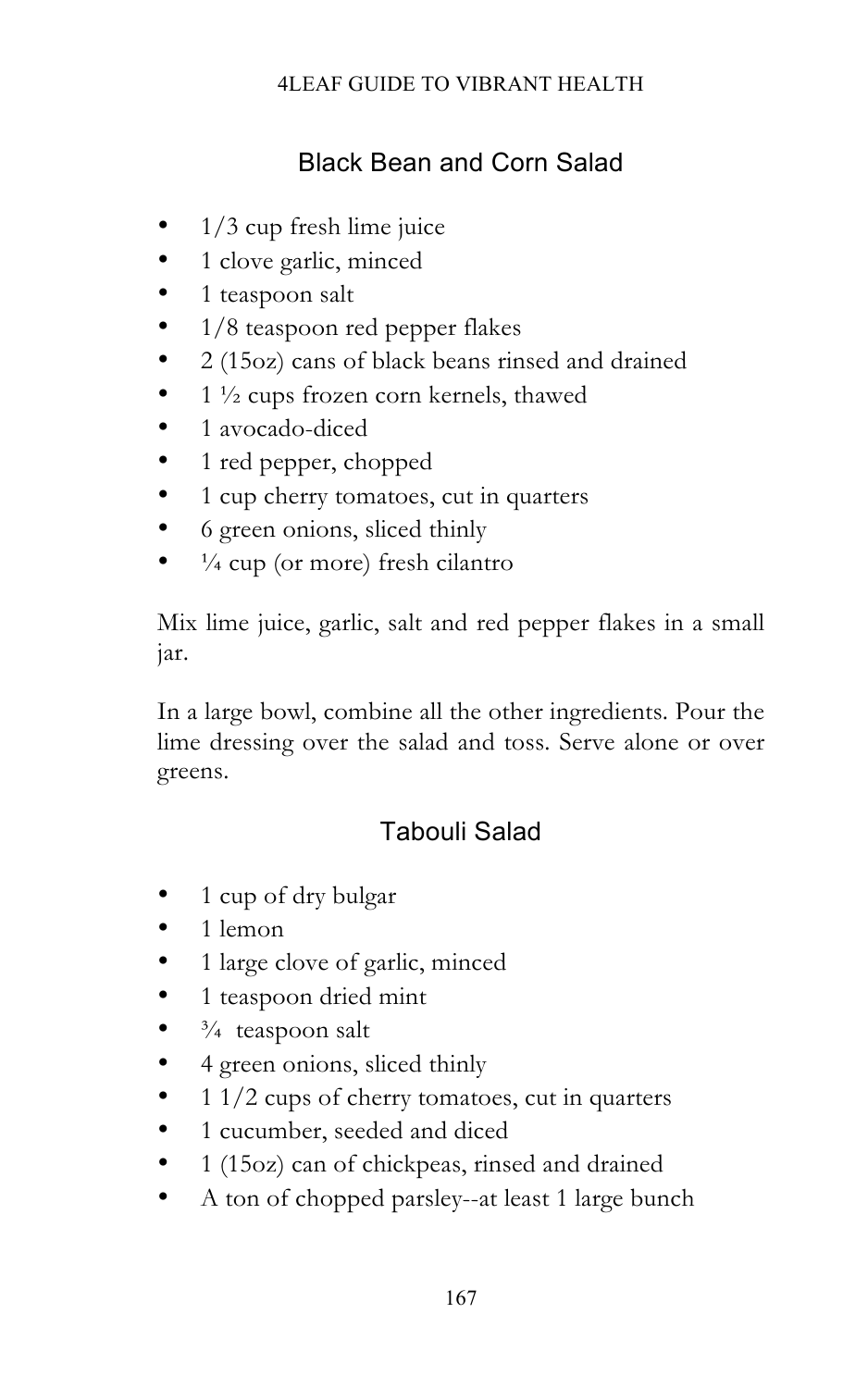### Black Bean and Corn Salad

- 1/3 cup fresh lime juice
- 1 clove garlic, minced
- 1 teaspoon salt
- 1/8 teaspoon red pepper flakes
- 2 (15oz) cans of black beans rinsed and drained
- 1  $\frac{1}{2}$  cups frozen corn kernels, thawed
- 1 avocado-diced
- 1 red pepper, chopped
- 1 cup cherry tomatoes, cut in quarters
- 6 green onions, sliced thinly
- $\frac{1}{4}$  cup (or more) fresh cilantro

Mix lime juice, garlic, salt and red pepper flakes in a small jar.

In a large bowl, combine all the other ingredients. Pour the lime dressing over the salad and toss. Serve alone or over greens.

## Tabouli Salad

- 1 cup of dry bulgar
- 1 lemon
- 1 large clove of garlic, minced
- 1 teaspoon dried mint
- $\frac{3}{4}$  teaspoon salt
- 4 green onions, sliced thinly
- 1 1/2 cups of cherry tomatoes, cut in quarters
- 1 cucumber, seeded and diced
- 1 (15oz) can of chickpeas, rinsed and drained
- A ton of chopped parsley--at least 1 large bunch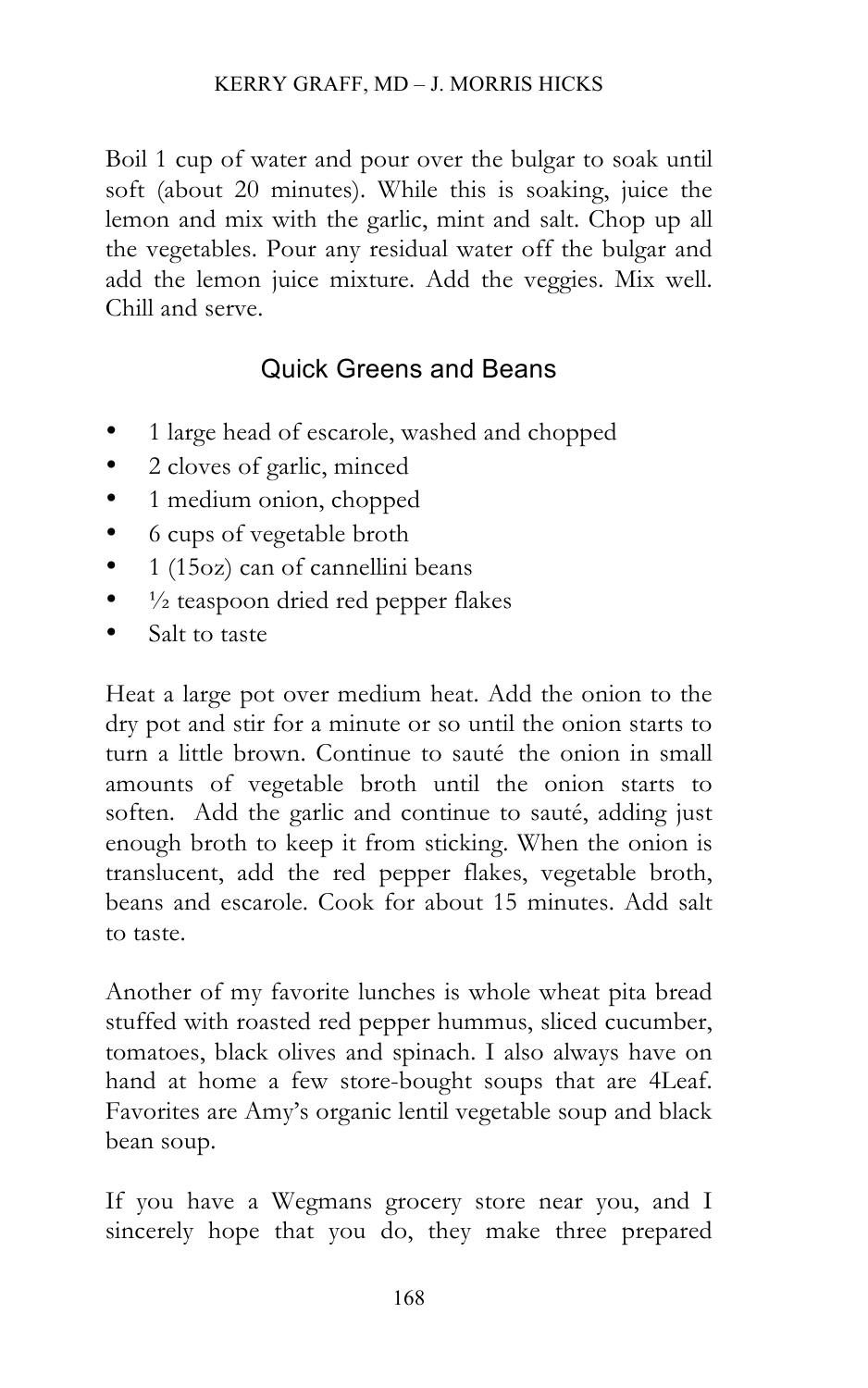Boil 1 cup of water and pour over the bulgar to soak until soft (about 20 minutes). While this is soaking, juice the lemon and mix with the garlic, mint and salt. Chop up all the vegetables. Pour any residual water off the bulgar and add the lemon juice mixture. Add the veggies. Mix well. Chill and serve.

### Quick Greens and Beans

- 1 large head of escarole, washed and chopped
- 2 cloves of garlic, minced
- 1 medium onion, chopped
- 6 cups of vegetable broth
- 1 (15oz) can of cannellini beans
- $\frac{1}{2}$  teaspoon dried red pepper flakes
- Salt to taste

Heat a large pot over medium heat. Add the onion to the dry pot and stir for a minute or so until the onion starts to turn a little brown. Continue to sauté the onion in small amounts of vegetable broth until the onion starts to soften. Add the garlic and continue to sauté, adding just enough broth to keep it from sticking. When the onion is translucent, add the red pepper flakes, vegetable broth, beans and escarole. Cook for about 15 minutes. Add salt to taste.

Another of my favorite lunches is whole wheat pita bread stuffed with roasted red pepper hummus, sliced cucumber, tomatoes, black olives and spinach. I also always have on hand at home a few store-bought soups that are 4Leaf. Favorites are Amy's organic lentil vegetable soup and black bean soup.

If you have a Wegmans grocery store near you, and I sincerely hope that you do, they make three prepared